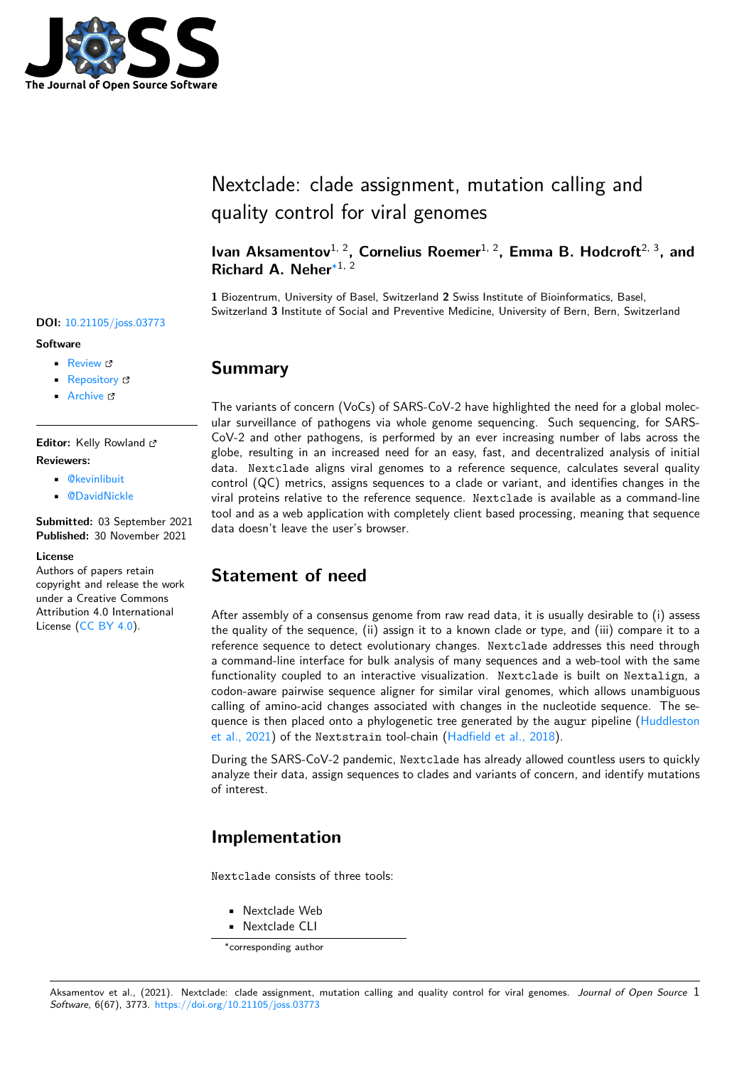

# Nextclade: clade assignment, mutation calling and quality control for viral genomes

Ivan Aksamentov<sup>1, 2</sup>, Cornelius Roemer<sup>1, 2</sup>, Emma B. Hodcroft<sup>2, 3</sup>, and **Richard A. Neher**∗1, 2

**1** Biozentrum, University of Basel, Switzerland **2** Swiss Institute of Bioinformatics, Basel, Switzerland **3** Institute of Social and Preventive Medicine, University of Bern, Bern, Switzerland

### **Summary**

The variants of concern (VoCs) of SARS-CoV-2 have highlighted the need for a global molecular surveillance of pathogens via whole genome sequencing. Such sequencing, for SARS-CoV-2 and other pathogens, is performed by an ever increasing number of labs across the globe, resulting in an increased need for an easy, fast, and decentralized analysis of initial data. Nextclade aligns viral genomes to a reference sequence, calculates several quality control (QC) metrics, assigns sequences to a clade or variant, and identifies changes in the viral proteins relative to the reference sequence. Nextclade is available as a command-line tool and as a web application with completely client based processing, meaning that sequence data doesn't leave the user's browser.

## **Statement of need**

After assembly of a consensus genome from raw read data, it is usually desirable to (i) assess the quality of the sequence, (ii) assign it to a known clade or type, and (iii) compare it to a reference sequence to detect evolutionary changes. Nextclade addresses this need through a command-line interface for bulk analysis of many sequences and a web-tool with the same functionality coupled to an interactive visualization. Nextclade is built on Nextalign, a codon-aware pairwise sequence aligner for similar viral genomes, which allows unambiguous calling of amino-acid changes associated with changes in the nucleotide sequence. The sequence is then placed onto a phylogenetic tree generated by the augur pipeline (Huddleston et al., 2021) of the Nextstrain tool-chain (Hadfield et al., 2018).

During the SARS-CoV-2 pandemic, Nextclade has already allowed countless users to quickly analyze their data, assign sequences to clades and variants of concern, and identif[y mutations](#page-3-0) [of interest.](#page-3-0)

## **Implementation**

Nextclade consists of three tools:

- Nextclade Web
- Nextclade CLI

#### **DOI:** 10.21105/joss.03773

#### **Software**

- Review &
- [Repository](https://doi.org/10.21105/joss.03773) &
- Archive

**Editor:** [Kelly Row](https://github.com/nextstrain/nextclade)land **Revie[wers:](https://doi.org/10.5281/zenodo.5726681)**

- @kevinlibuit
	- @DavidNickle

**Submitted:** 03 September 2021 **Published:** [30 Nov](https://github.com/kevinlibuit)ember 2021

#### **Licen[se](https://github.com/DavidNickle)**

Authors of papers retain copyright and release the work under a Creative Commons Attribution 4.0 International License (CC BY 4.0).

<sup>∗</sup>corresponding author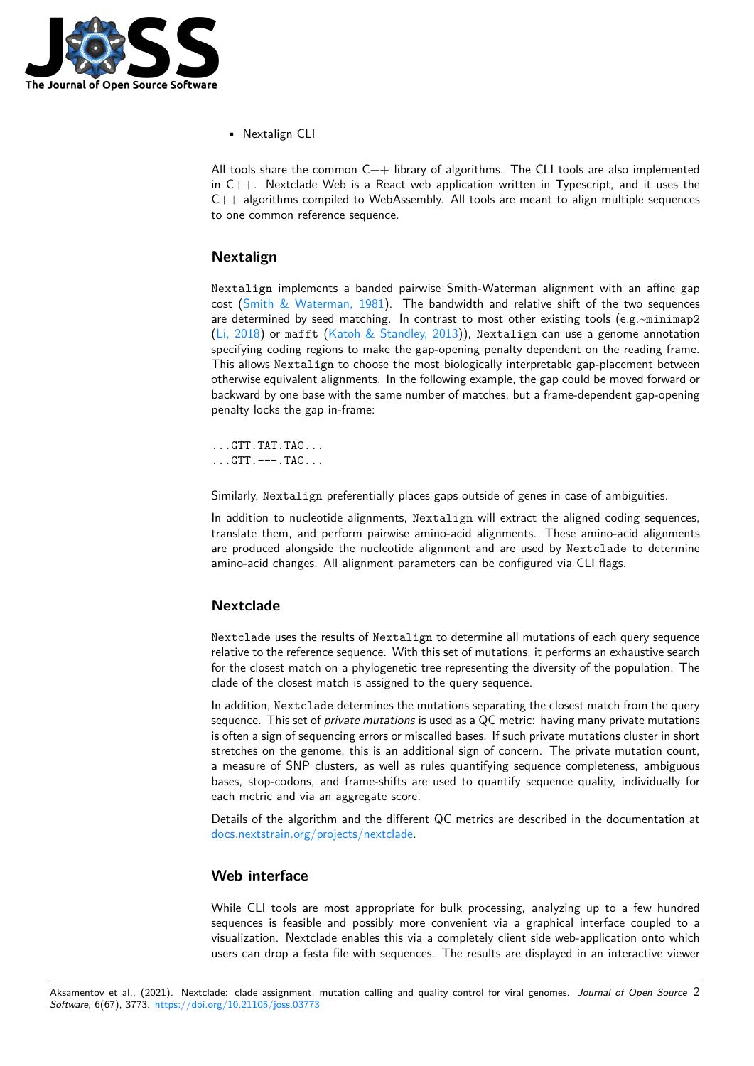

• Nextalign CLI

All tools share the common  $C++$  library of algorithms. The CLI tools are also implemented in  $C++$ . Nextclade Web is a React web application written in Typescript, and it uses the  $C_{++}$  algorithms compiled to WebAssembly. All tools are meant to align multiple sequences to one common reference sequence.

### **Nextalign**

Nextalign implements a banded pairwise Smith-Waterman alignment with an affine gap cost (Smith & Waterman, 1981). The bandwidth and relative shift of the two sequences are determined by seed matching. In contrast to most other existing tools (e.g. $\sim$ minimap2 (Li, 2018) or mafft (Katoh & Standley, 2013)), Nextalign can use a genome annotation specifying coding regions to make the gap-opening penalty dependent on the reading frame. This allows [Nextalign](#page-4-0) to choose the most biologically interpretable gap-placement between otherwise equivalent alignments. In the following example, the gap could be moved forward or [backward](#page-4-1) by one base [with the same number of](#page-4-2) matches, but a frame-dependent gap-opening penalty locks the gap in-frame:

...GTT.TAT.TAC... ...GTT.---.TAC...

Similarly, Nextalign preferentially places gaps outside of genes in case of ambiguities.

In addition to nucleotide alignments, Nextalign will extract the aligned coding sequences, translate them, and perform pairwise amino-acid alignments. These amino-acid alignments are produced alongside the nucleotide alignment and are used by Nextclade to determine amino-acid changes. All alignment parameters can be configured via CLI flags.

### **Nextclade**

Nextclade uses the results of Nextalign to determine all mutations of each query sequence relative to the reference sequence. With this set of mutations, it performs an exhaustive search for the closest match on a phylogenetic tree representing the diversity of the population. The clade of the closest match is assigned to the query sequence.

In addition, Nextclade determines the mutations separating the closest match from the query sequence. This set of *private mutations* is used as a QC metric: having many private mutations is often a sign of sequencing errors or miscalled bases. If such private mutations cluster in short stretches on the genome, this is an additional sign of concern. The private mutation count, a measure of SNP clusters, as well as rules quantifying sequence completeness, ambiguous bases, stop-codons, and frame-shifts are used to quantify sequence quality, individually for each metric and via an aggregate score.

Details of the algorithm and the different QC metrics are described in the documentation at docs.nextstrain.org/projects/nextclade.

#### **Web interface**

[While CLI tools are most appropriate](https://docs.nextstrain.org/projects/nextclade/en/stable/) for bulk processing, analyzing up to a few hundred sequences is feasible and possibly more convenient via a graphical interface coupled to a visualization. Nextclade enables this via a completely client side web-application onto which users can drop a fasta file with sequences. The results are displayed in an interactive viewer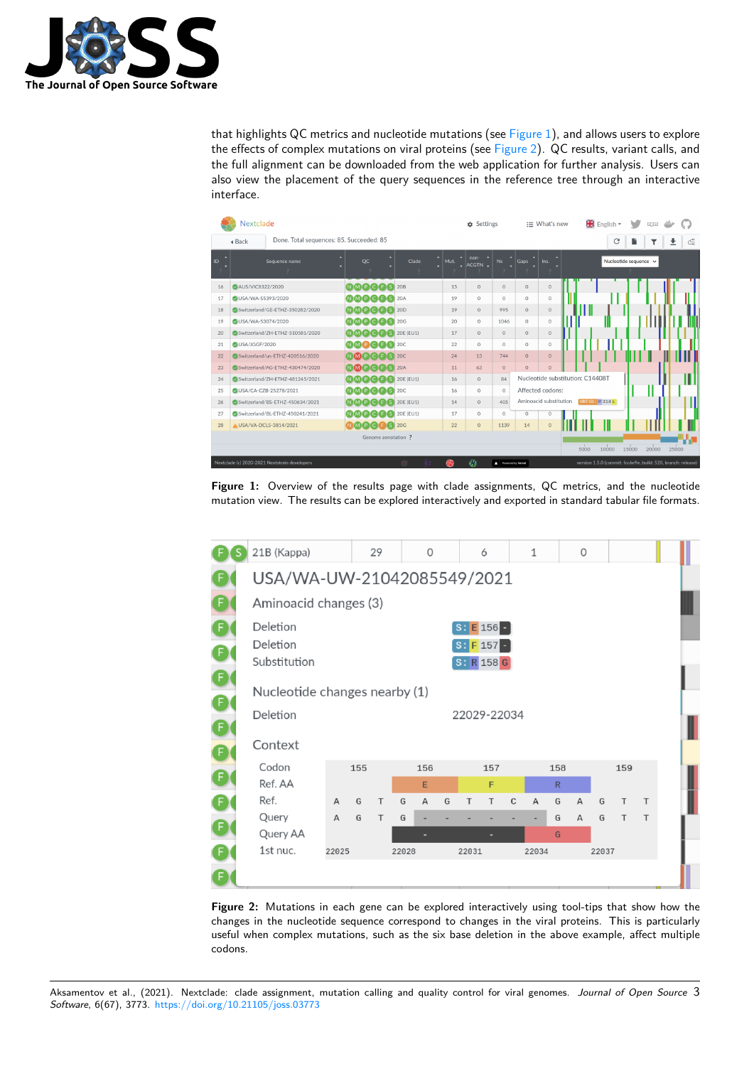

that highlights QC metrics and nucleotide mutations (see Figure 1), and allows users to explore the effects of complex mutations on viral proteins (see Figure 2). QC results, variant calls, and the full alignment can be downloaded from the web application for further analysis. Users can also view the placement of the query sequences in the reference tree through an interactive interface.

|                                                    | Nextclade                       |                                 |                         |                         |           | <b>the Settings</b> |                   | $\equiv$ What's new              |                        |      |                | $\frac{812}{28}$ English $\sim$                              |   |       |       |   |  |
|----------------------------------------------------|---------------------------------|---------------------------------|-------------------------|-------------------------|-----------|---------------------|-------------------|----------------------------------|------------------------|------|----------------|--------------------------------------------------------------|---|-------|-------|---|--|
| Done. Total sequences: 85. Succeeded: 85<br>4 Back |                                 |                                 |                         |                         |           |                     |                   |                                  |                        |      | C              |                                                              | n |       | ≛     | c |  |
| ID                                                 | Sequence name<br>$\mathcal{P}$  |                                 | QC                      | Clade<br>$\overline{2}$ | ×<br>Mut. | non-<br>ACGTN -     | Ns                | Gaps                             | Ins.                   |      |                | Nucleotide sequence v                                        |   |       |       |   |  |
| 16                                                 | AUS/VIC8322/2020                |                                 | NMPCFS                  | 20 <sub>B</sub>         | 15        | $\Omega$            | $\Omega$          | $\circ$                          | $\circ$                |      |                |                                                              |   |       |       |   |  |
| 17                                                 | USA/WA-S5393/2020               |                                 | NMPCFS 20A              |                         | 19        | $\circ$             | $\circ$           | $\circ$                          | $\circ$                |      |                |                                                              |   |       |       |   |  |
| 18                                                 | Switzerland/GE-ETHZ-350282/2020 |                                 | N M P C F S 20D         |                         | 19        | $\circ$             | 995               | $\circ$                          | $\circ$                |      |                |                                                              |   |       |       |   |  |
| 19                                                 | <b>OUSA/WA-S3074/2020</b>       |                                 | <b>NMPCFS</b>           | 20G                     | 20        | $\circ$             | 1046              | $\circ$                          | $\circ$                |      |                |                                                              |   |       |       |   |  |
| 20                                                 | Switzerland/ZH-ETHZ-510581/2020 |                                 | $N$ M P C F S 20E (EU1) |                         | 17        | $\circ$             | $\circ$           | $\circ$                          | $\circ$                |      |                |                                                              |   |       |       |   |  |
| 21                                                 | USA/JGGF/2020                   |                                 | <b>NMPCFS</b> 20C       |                         | 22        | $\circ$             | $\circ$           | $\circ$                          | $\circ$                |      |                |                                                              |   |       |       |   |  |
| 22                                                 |                                 | Switzerland/un-ETHZ-420516/2020 | N M P C F S 20C         |                         | 24        | 13                  | 744               | $\circ$                          | $\circ$                |      |                |                                                              |   |       |       |   |  |
| 23                                                 |                                 | Switzerland/AG-ETHZ-430474/2020 | NMPCFS 20A              |                         | 11        | 63                  | $\circ$           | $\mathbf{0}$                     | $\Omega$               |      |                |                                                              |   |       |       |   |  |
| 24                                                 |                                 | Switzerland/ZH-ETHZ-481245/2021 | $N$ M P C F S 20E (EU1) |                         | 16        | $\circ$             | 84                | Nucleotide substitution: C14408T |                        |      |                |                                                              |   |       | Π     |   |  |
| 25                                                 | OUSA/CA-CZB-25278/2021          |                                 | N M P C F S 20C         |                         | 16        | $\circ$             | $\circ$           | Affected codons:                 |                        |      |                |                                                              |   |       |       |   |  |
| 26                                                 | Switzerland/BS-ETHZ-450634/2021 |                                 | $N$ M P C F S 20E (EU1) |                         | 14        | $\circ$             | 405               |                                  | Aminoacid substitution |      | ORF1b: P 314 L |                                                              |   |       |       |   |  |
| 27                                                 |                                 | Switzerland/BL-ETHZ-450241/2021 | NMPCFS                  | 20E (EU1)               | 17        | $\circ$             | $\Omega$          | $\circ$                          | $\circ$                |      |                |                                                              |   |       |       |   |  |
| 28                                                 | A USA/VA-DCLS-3814/2021         |                                 | <b>NMPCBS</b> 20G       |                         | 22        | $\circ$             | 1139              | 14                               | $\Omega$               |      |                |                                                              |   |       |       |   |  |
| Genome annotation ?                                |                                 |                                 |                         |                         |           |                     |                   |                                  |                        |      |                |                                                              |   |       |       |   |  |
|                                                    |                                 |                                 |                         |                         |           |                     |                   |                                  |                        | 5000 | 10000          | 15000                                                        |   | 20000 | 25000 |   |  |
| Nextclade (c) 2020-2021 Nextstrain developers      |                                 |                                 |                         | -32<br>B <sub>Z</sub>   | ЬR        | $\mathcal{L}$       | Powered by Vercel |                                  |                        |      |                | version 1.5.0 (commit: fcc6e9e, build: 520, branch: release) |   |       |       |   |  |

**Figure 1:** Overview of the results page with clade assignments, QC metrics, and the nucleotide mutation view. The results can be explored interactively and exported in standard tabular file formats.



**Figure 2:** Mutations in each gene can be explored interactively using tool-tips that show how the changes in the nucleotide sequence correspond to changes in the viral proteins. This is particularly useful when complex mutations, such as the six base deletion in the above example, affect multiple codons.

Aksamentov et al., (2021). Nextclade: clade assignment, mutation calling and quality control for viral genomes. *Journal of Open Source* 3*Software*, 6(67), 3773. https://doi.org/10.21105/joss.03773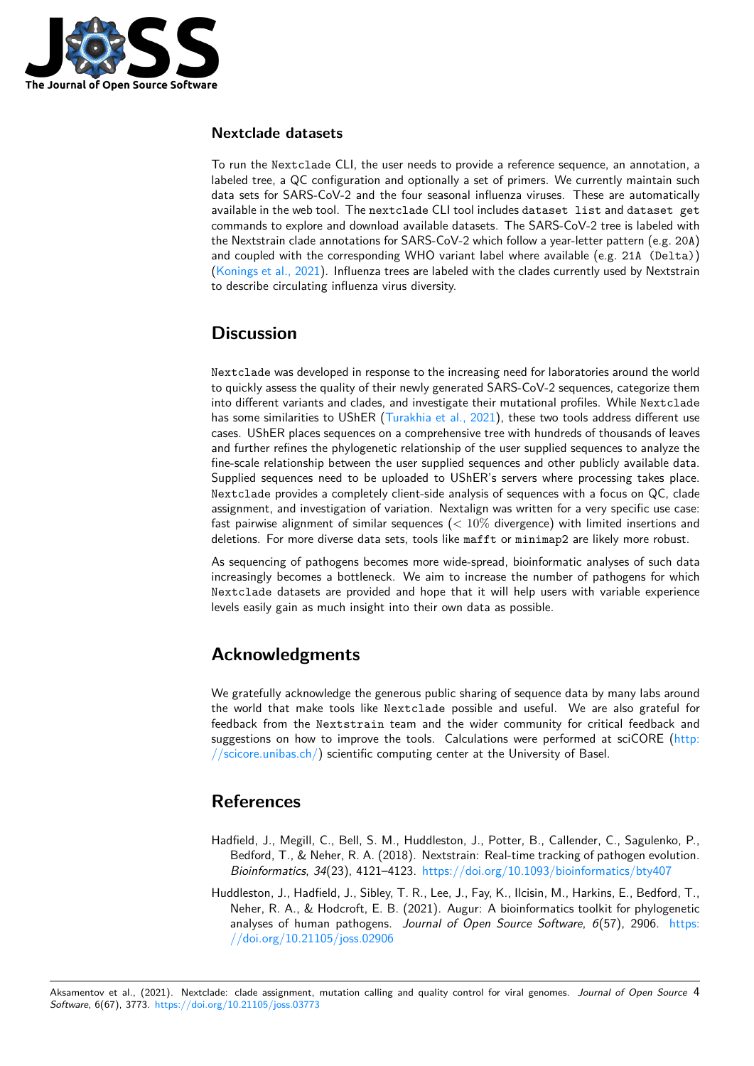

### **Nextclade datasets**

To run the Nextclade CLI, the user needs to provide a reference sequence, an annotation, a labeled tree, a QC configuration and optionally a set of primers. We currently maintain such data sets for SARS-CoV-2 and the four seasonal influenza viruses. These are automatically available in the web tool. The nextclade CLI tool includes dataset list and dataset get commands to explore and download available datasets. The SARS-CoV-2 tree is labeled with the Nextstrain clade annotations for SARS-CoV-2 which follow a year-letter pattern (e.g. 20A) and coupled with the corresponding WHO variant label where available (e.g. 21A (Delta)) (Konings et al., 2021). Influenza trees are labeled with the clades currently used by Nextstrain to describe circulating influenza virus diversity.

## **[Discussion](#page-4-3)**

Nextclade was developed in response to the increasing need for laboratories around the world to quickly assess the quality of their newly generated SARS-CoV-2 sequences, categorize them into different variants and clades, and investigate their mutational profiles. While Nextclade has some similarities to UShER (Turakhia et al., 2021), these two tools address different use cases. UShER places sequences on a comprehensive tree with hundreds of thousands of leaves and further refines the phylogenetic relationship of the user supplied sequences to analyze the fine-scale relationship between the user supplied sequences and other publicly available data. Supplied sequences need to be [uploaded to UShER's](#page-4-4) servers where processing takes place. Nextclade provides a completely client-side analysis of sequences with a focus on QC, clade assignment, and investigation of variation. Nextalign was written for a very specific use case: fast pairwise alignment of similar sequences (*<* 10% divergence) with limited insertions and deletions. For more diverse data sets, tools like mafft or minimap2 are likely more robust.

As sequencing of pathogens becomes more wide-spread, bioinformatic analyses of such data increasingly becomes a bottleneck. We aim to increase the number of pathogens for which Nextclade datasets are provided and hope that it will help users with variable experience levels easily gain as much insight into their own data as possible.

## **Acknowledgments**

We gratefully acknowledge the generous public sharing of sequence data by many labs around the world that make tools like Nextclade possible and useful. We are also grateful for feedback from the Nextstrain team and the wider community for critical feedback and suggestions on how to improve the tools. Calculations were performed at sciCORE (http: //scicore.unibas.ch/) scientific computing center at the University of Basel.

### **[References](http://scicore.unibas.ch/)**

- Hadfield, J., Megill, C., Bell, S. M., Huddleston, J., Potter, B., Callender, C., Sagulenko, P., Bedford, T., & Neher, R. A. (2018). Nextstrain: Real-time tracking of pathogen evolution. *Bioinformatics*, *34*(23), 4121–4123. https://doi.org/10.1093/bioinformatics/bty407
- <span id="page-3-0"></span>Huddleston, J., Hadfield, J., Sibley, T. R., Lee, J., Fay, K., Ilcisin, M., Harkins, E., Bedford, T., Neher, R. A., & Hodcroft, E. B. (2021). Augur: A bioinformatics toolkit for phylogenetic analyses of human pathogens. *Jou[rnal of Open Source Software](https://doi.org/10.1093/bioinformatics/bty407)*, *6*(57), 2906. https: //doi.org/10.21105/joss.02906

Aksamentov et al., (2021). Nextclade: [clade assignment, mutation calling](https://doi.org/10.21105/joss.02906) and quality control for viral genomes. *Journal of Open So[urce](https://doi.org/10.21105/joss.02906)* 4*Software*, 6(67), 3773. https://doi.org/10.21105/joss.03773